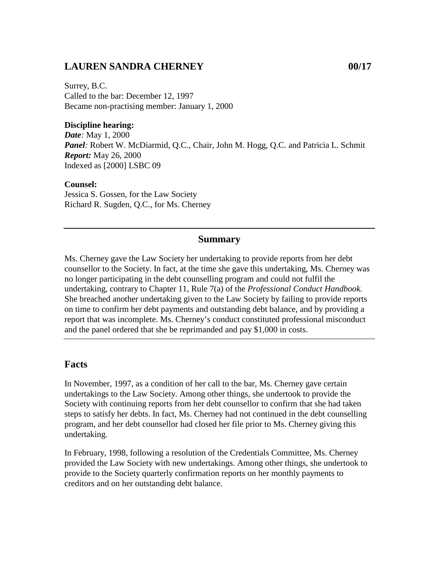### **LAUREN SANDRA CHERNEY 00/17**

Surrey, B.C. Called to the bar: December 12, 1997 Became non-practising member: January 1, 2000

#### **Discipline hearing:**

*Date:* May 1, 2000 *Panel:* Robert W. McDiarmid, Q.C., Chair, John M. Hogg, Q.C. and Patricia L. Schmit *Report:* May 26, 2000 Indexed as [2000] LSBC 09

#### **Counsel:**

Jessica S. Gossen, for the Law Society Richard R. Sugden, Q.C., for Ms. Cherney

#### **Summary**

Ms. Cherney gave the Law Society her undertaking to provide reports from her debt counsellor to the Society. In fact, at the time she gave this undertaking, Ms. Cherney was no longer participating in the debt counselling program and could not fulfil the undertaking, contrary to Chapter 11, Rule 7(a) of the *Professional Conduct Handbook.* She breached another undertaking given to the Law Society by failing to provide reports on time to confirm her debt payments and outstanding debt balance, and by providing a report that was incomplete. Ms. Cherney's conduct constituted professional misconduct and the panel ordered that she be reprimanded and pay \$1,000 in costs.

### **Facts**

In November, 1997, as a condition of her call to the bar, Ms. Cherney gave certain undertakings to the Law Society. Among other things, she undertook to provide the Society with continuing reports from her debt counsellor to confirm that she had taken steps to satisfy her debts. In fact, Ms. Cherney had not continued in the debt counselling program, and her debt counsellor had closed her file prior to Ms. Cherney giving this undertaking.

In February, 1998, following a resolution of the Credentials Committee, Ms. Cherney provided the Law Society with new undertakings. Among other things, she undertook to provide to the Society quarterly confirmation reports on her monthly payments to creditors and on her outstanding debt balance.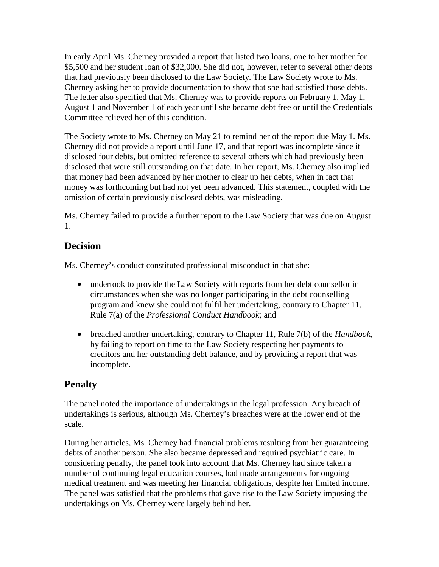In early April Ms. Cherney provided a report that listed two loans, one to her mother for \$5,500 and her student loan of \$32,000. She did not, however, refer to several other debts that had previously been disclosed to the Law Society. The Law Society wrote to Ms. Cherney asking her to provide documentation to show that she had satisfied those debts. The letter also specified that Ms. Cherney was to provide reports on February 1, May 1, August 1 and November 1 of each year until she became debt free or until the Credentials Committee relieved her of this condition.

The Society wrote to Ms. Cherney on May 21 to remind her of the report due May 1. Ms. Cherney did not provide a report until June 17, and that report was incomplete since it disclosed four debts, but omitted reference to several others which had previously been disclosed that were still outstanding on that date. In her report, Ms. Cherney also implied that money had been advanced by her mother to clear up her debts, when in fact that money was forthcoming but had not yet been advanced. This statement, coupled with the omission of certain previously disclosed debts, was misleading.

Ms. Cherney failed to provide a further report to the Law Society that was due on August 1.

## **Decision**

Ms. Cherney's conduct constituted professional misconduct in that she:

- undertook to provide the Law Society with reports from her debt counsellor in circumstances when she was no longer participating in the debt counselling program and knew she could not fulfil her undertaking, contrary to Chapter 11, Rule 7(a) of the *Professional Conduct Handbook*; and
- breached another undertaking, contrary to Chapter 11, Rule 7(b) of the *Handbook*, by failing to report on time to the Law Society respecting her payments to creditors and her outstanding debt balance, and by providing a report that was incomplete.

# **Penalty**

The panel noted the importance of undertakings in the legal profession. Any breach of undertakings is serious, although Ms. Cherney's breaches were at the lower end of the scale.

During her articles, Ms. Cherney had financial problems resulting from her guaranteeing debts of another person. She also became depressed and required psychiatric care. In considering penalty, the panel took into account that Ms. Cherney had since taken a number of continuing legal education courses, had made arrangements for ongoing medical treatment and was meeting her financial obligations, despite her limited income. The panel was satisfied that the problems that gave rise to the Law Society imposing the undertakings on Ms. Cherney were largely behind her.